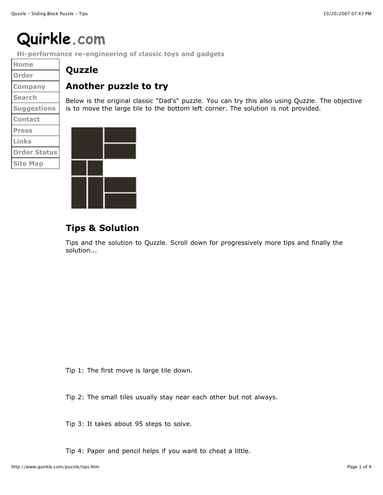## **Quirkle.com**

**Hi-performance re-engineering of classic toys and gadgets**

**Home Order Company Search Suggestions Contact Press Links Order Status Site Map**

## **Quzzle**

## **Another puzzle to try**

Below is the original classic "Dad's" puzzle. You can try this also using Quzzle. The objective is to move the large tile to the bottom left corner. The solution is not provided.



## **Tips & Solution**

Tips and the solution to Quzzle. Scroll down for progressively more tips and finally the solution...

Tip 1: The first move is large tile down.

Tip 2: The small tiles usually stay near each other but not always.

Tip 3: It takes about 95 steps to solve.

Tip 4: Paper and pencil helps if you want to cheat a little.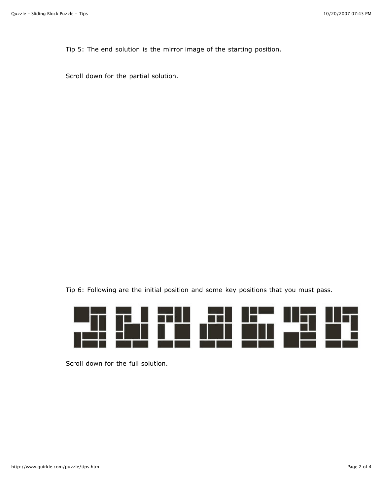Tip 5: The end solution is the mirror image of the starting position.

Scroll down for the partial solution.

Tip 6: Following are the initial position and some key positions that you must pass.



Scroll down for the full solution.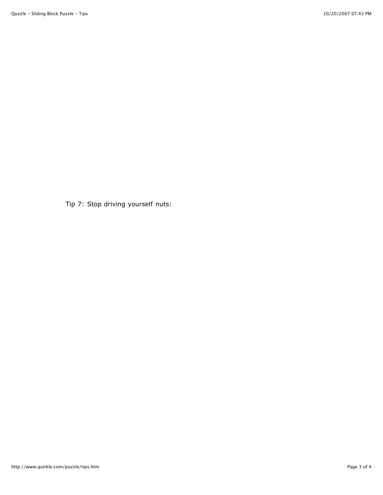Tip 7: Stop driving yourself nuts: